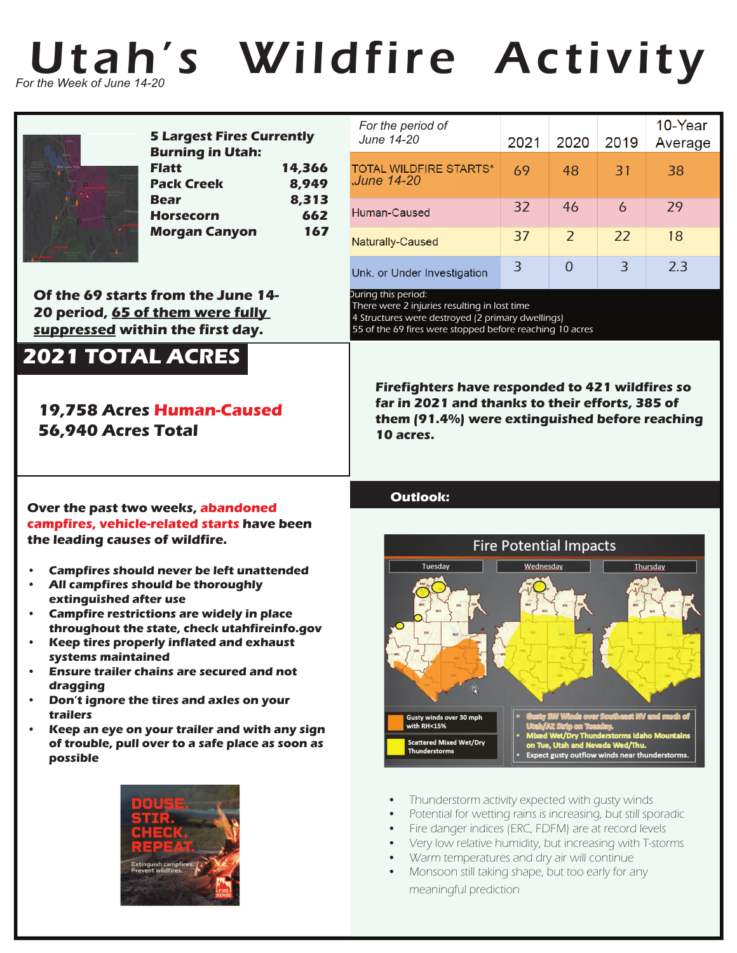

# Utah's Wildfire Activity



| <b>5 Largest Fires Currently</b> |        |
|----------------------------------|--------|
| <b>Burning in Utah:</b>          |        |
| <b>Flatt</b>                     | 14,366 |
| <b>Pack Creek</b>                | 8.949  |
| Bear                             | 8,313  |
| <b>Horsecorn</b>                 | 662    |
| <b>Morgan Canyon</b>             | 167    |
|                                  |        |

**Of the 69 starts from the June 14- 20 period, 65 of them were fully suppressed within the first day.**

## **2021 TOTAL ACRES**

### **19,758 Acres Human-Caused 56,940 Acres Total**

**Over the past two weeks, abandoned campfires, vehicle-related starts have been** 

**• All campfires should be thoroughly** 

**• Campfires should never be left unattended**

**• Campfire restrictions are widely in place throughout the state, check utahfireinfo.gov • Keep tires properly inflated and exhaust** 

**• Ensure trailer chains are secured and not** 

**• Don't ignore the tires and axles on your** 

**• Keep an eye on your trailer and with any sign of trouble, pull over to a safe place as soon as** 

**the leading causes of wildfire.**

**extinguished after use**

**systems maintained**

**dragging**

**trailers**

**possible**

#### *For the period of*  10-Year *June 14-20* 2019 2021 2020 Average **TOTAL WILDFIRE STARTS\*** 69 48 31 38 *June 14-20* 32 46 6 29 Human-Caused 37 2 22 18 Naturally-Caused 3 0 3 2.3 Unk. or Under Investigation

During this period:

There were 2 injuries resulting in lost time 4 Structures were destroyed (2 primary dwellings) - 55 of the 69 fires were stopped before reaching 10 acres

**Firefighters have responded to 421 wildfires so far in 2021 and thanks to their efforts, 385 of them (91.4%) were extinguished before reaching 10 acres.**

### **Outlook:**





- Thunderstorm activity expected with qusty winds
- Potential for wetting rains is increasing, but still sporadic
- Fire danger indices (ERC, FDFM) are at record levels
- Very low relative humidity, but increasing with T-storms
- Warm temperatures and dry air will continue
- Monsoon still taking shape, but too early for any meaningful prediction